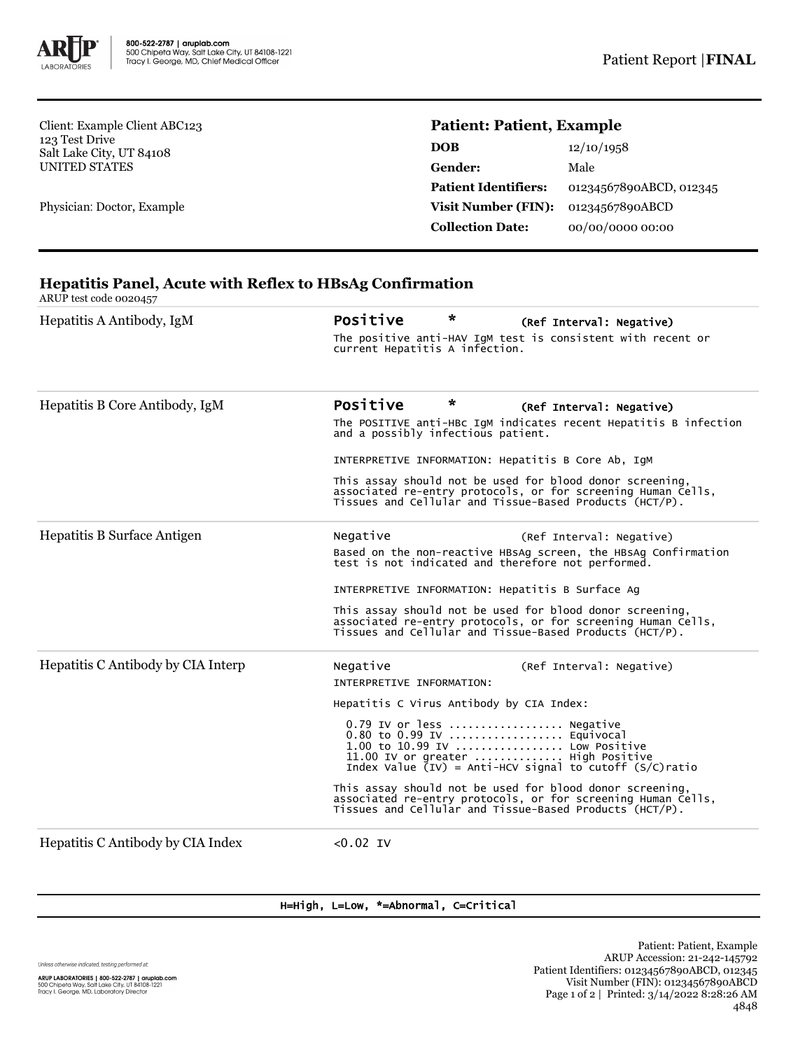

Client: Example Client ABC123 123 Test Drive Salt Lake City, UT 84108 UNITED STATES

Physician: Doctor, Example

# **Patient: Patient, Example**

| <b>DOB</b>                  | 12/10/1958              |
|-----------------------------|-------------------------|
| Gender:                     | Male                    |
| <b>Patient Identifiers:</b> | 01234567890ABCD, 012345 |
| Visit Number (FIN):         | 01234567890ABCD         |
| <b>Collection Date:</b>     | 00/00/0000 00:00        |

## **Hepatitis Panel, Acute with Reflex to HBsAg Confirmation**

ARUP test code 0020457

| Hepatitis A Antibody, IgM          | Positive                                                                                                                                                                                        | * | (Ref Interval: Negative) |  |  |  |
|------------------------------------|-------------------------------------------------------------------------------------------------------------------------------------------------------------------------------------------------|---|--------------------------|--|--|--|
|                                    | The positive anti-HAV IgM test is consistent with recent or<br>current Hepatitis A infection.                                                                                                   |   |                          |  |  |  |
| Hepatitis B Core Antibody, IgM     | Positive                                                                                                                                                                                        | * | (Ref Interval: Negative) |  |  |  |
|                                    | The POSITIVE anti-HBc IgM indicates recent Hepatitis B infection<br>and a possibly infectious patient.                                                                                          |   |                          |  |  |  |
|                                    | INTERPRETIVE INFORMATION: Hepatitis B Core Ab, IgM                                                                                                                                              |   |                          |  |  |  |
|                                    | This assay should not be used for blood donor screening,<br>associated re-entry protocols, or for screening Human Cells,<br>Tissues and Cellular and Tissue-Based Products (HCT/P).             |   |                          |  |  |  |
| Hepatitis B Surface Antigen        | Negative                                                                                                                                                                                        |   | (Ref Interval: Negative) |  |  |  |
|                                    | Based on the non-reactive HBSAg screen, the HBSAg Confirmation<br>test is not indicated and therefore not performed.                                                                            |   |                          |  |  |  |
|                                    | INTERPRETIVE INFORMATION: Hepatitis B Surface Ag                                                                                                                                                |   |                          |  |  |  |
|                                    | This assay should not be used for blood donor screening,<br>associated re-entry protocols, or for screening Human Cells,<br>Tissues and Cellular and Tissue-Based Products (HCT/P).             |   |                          |  |  |  |
| Hepatitis C Antibody by CIA Interp | Negative<br>INTERPRETIVE INFORMATION:                                                                                                                                                           |   | (Ref Interval: Negative) |  |  |  |
|                                    | Hepatitis C Virus Antibody by CIA Index:                                                                                                                                                        |   |                          |  |  |  |
|                                    | 0.79 IV or less  Negative<br>0.80 to 0.99 IV  Equivocal<br>1.00 to 10.99 IV  Low Positive<br>11.00 IV or greater  High Positive<br>Index Value $(IV)$ = Anti-HCV signal to cutoff $(S/C)$ ratio |   |                          |  |  |  |
|                                    | This assay should not be used for blood donor screening,<br>associated re-entry protocols, or for screening Human Cells,<br>Tissues and Cellular and Tissue-Based Products (HCT/P).             |   |                          |  |  |  |
| Hepatitis C Antibody by CIA Index  | $< 0.02$ IV                                                                                                                                                                                     |   |                          |  |  |  |

H=High, L=Low, \*=Abnormal, C=Critical

Unless otherwise indicated, testing performed at: